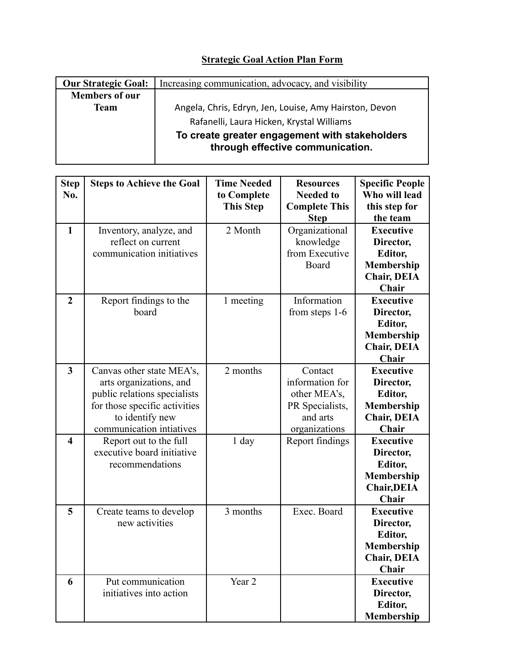## **Strategic Goal Action Plan Form**

| <b>Our Strategic Goal:</b> | Increasing communication, advocacy, and visibility                                 |  |  |  |
|----------------------------|------------------------------------------------------------------------------------|--|--|--|
| <b>Members of our</b>      |                                                                                    |  |  |  |
| <b>Team</b>                | Angela, Chris, Edryn, Jen, Louise, Amy Hairston, Devon                             |  |  |  |
|                            | Rafanelli, Laura Hicken, Krystal Williams                                          |  |  |  |
|                            | To create greater engagement with stakeholders<br>through effective communication. |  |  |  |

| <b>Step</b><br>No.      | <b>Steps to Achieve the Goal</b>                                                                                                                                     | <b>Time Needed</b><br>to Complete<br><b>This Step</b> | <b>Resources</b><br><b>Needed to</b><br><b>Complete This</b><br><b>Step</b>                | <b>Specific People</b><br>Who will lead<br>this step for<br>the team                         |
|-------------------------|----------------------------------------------------------------------------------------------------------------------------------------------------------------------|-------------------------------------------------------|--------------------------------------------------------------------------------------------|----------------------------------------------------------------------------------------------|
| $\mathbf{1}$            | Inventory, analyze, and<br>reflect on current<br>communication initiatives                                                                                           | 2 Month                                               | Organizational<br>knowledge<br>from Executive<br>Board                                     | <b>Executive</b><br>Director,<br>Editor,<br>Membership<br><b>Chair, DEIA</b><br>Chair        |
| $\overline{2}$          | Report findings to the<br>board                                                                                                                                      | 1 meeting                                             | Information<br>from steps 1-6                                                              | <b>Executive</b><br>Director,<br><b>Editor,</b><br>Membership<br><b>Chair, DEIA</b><br>Chair |
| $\mathbf{3}$            | Canvas other state MEA's,<br>arts organizations, and<br>public relations specialists<br>for those specific activities<br>to identify new<br>communication intiatives | 2 months                                              | Contact<br>information for<br>other MEA's,<br>PR Specialists,<br>and arts<br>organizations | <b>Executive</b><br>Director,<br>Editor,<br>Membership<br><b>Chair, DEIA</b><br>Chair        |
| $\overline{\mathbf{4}}$ | Report out to the full<br>executive board initiative<br>recommendations                                                                                              | $1$ day                                               | Report findings                                                                            | <b>Executive</b><br>Director,<br>Editor,<br>Membership<br><b>Chair, DEIA</b><br>Chair        |
| 5                       | Create teams to develop<br>new activities                                                                                                                            | 3 months                                              | Exec. Board                                                                                | <b>Executive</b><br>Director,<br>Editor,<br><b>Membership</b><br><b>Chair, DEIA</b><br>Chair |
| 6                       | Put communication<br>initiatives into action                                                                                                                         | Year 2                                                |                                                                                            | <b>Executive</b><br>Director,<br>Editor,<br><b>Membership</b>                                |